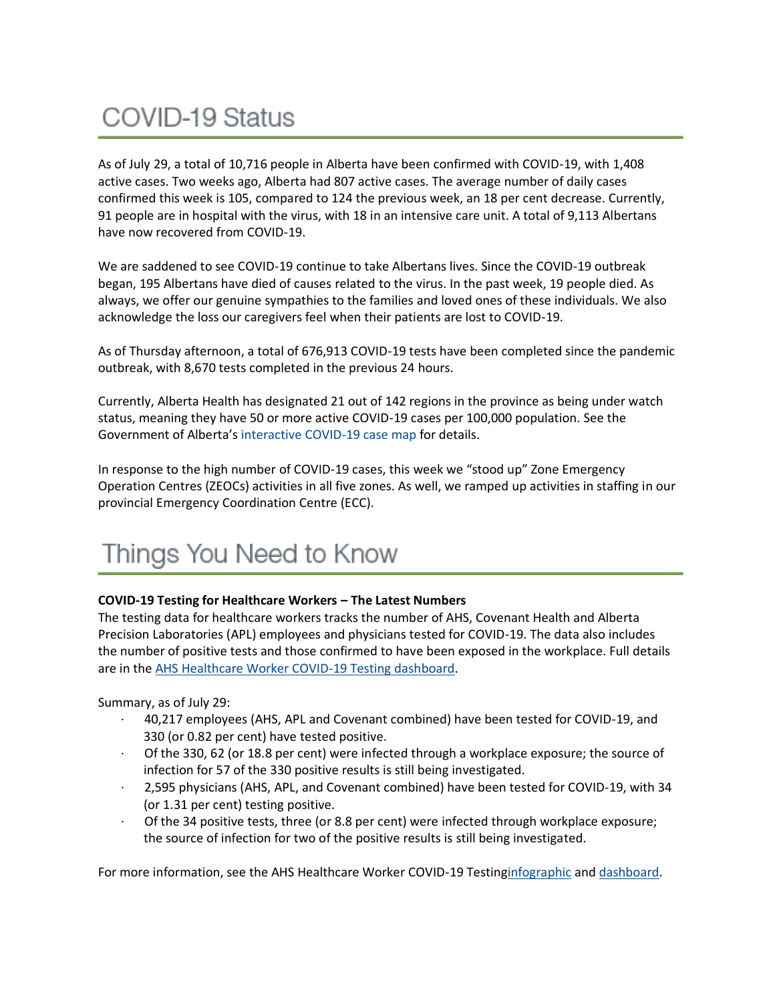## **COVID-19 Status**

As of July 29, a total of 10,716 people in Alberta have been confirmed with COVID-19, with 1,408 active cases. Two weeks ago, Alberta had 807 active cases. The average number of daily cases confirmed this week is 105, compared to 124 the previous week, an 18 per cent decrease. Currently, 91 people are in hospital with the virus, with 18 in an intensive care unit. A total of 9,113 Albertans have now recovered from COVID-19.

We are saddened to see COVID-19 continue to take Albertans lives. Since the COVID-19 outbreak began, 195 Albertans have died of causes related to the virus. In the past week, 19 people died. As always, we offer our genuine sympathies to the families and loved ones of these individuals. We also acknowledge the loss our caregivers feel when their patients are lost to COVID-19.

As of Thursday afternoon, a total of 676,913 COVID-19 tests have been completed since the pandemic outbreak, with 8,670 tests completed in the previous 24 hours.

Currently, Alberta Health has designated 21 out of 142 regions in the province as being under watch status, meaning they have 50 or more active COVID-19 cases per 100,000 population. See the Government of Alberta's [interactive COVID-19 case map](https://www.alberta.ca/maps/covid-19-status-map.htm) for details.

In response to the high number of COVID-19 cases, this week we "stood up" Zone Emergency Operation Centres (ZEOCs) activities in all five zones. As well, we ramped up activities in staffing in our provincial Emergency Coordination Centre (ECC).

## Things You Need to Know

#### **COVID-19 Testing for Healthcare Workers – The Latest Numbers**

The testing data for healthcare workers tracks the number of AHS, Covenant Health and Alberta Precision Laboratories (APL) employees and physicians tested for COVID-19. The data also includes the number of positive tests and those confirmed to have been exposed in the workplace. Full details are in the [AHS Healthcare Worker COVID-19 Testing dashboard.](https://tableau.albertahealthservices.ca/#/views/AHSEmployeePhysicianCOVID-19TestSurveillanceDashboard/Introduction?:iid=1)

Summary, as of July 29:

- · 40,217 employees (AHS, APL and Covenant combined) have been tested for COVID-19, and 330 (or 0.82 per cent) have tested positive.
- · Of the 330, 62 (or 18.8 per cent) were infected through a workplace exposure; the source of infection for 57 of the 330 positive results is still being investigated.
- · 2,595 physicians (AHS, APL, and Covenant combined) have been tested for COVID-19, with 34 (or 1.31 per cent) testing positive.
- Of the 34 positive tests, three (or 8.8 per cent) were infected through workplace exposure; the source of infection for two of the positive results is still being investigated.

For more information, see the AHS Healthcare Worker COVID-19 Testin[ginfographic](https://insite.albertahealthservices.ca/main/assets/tls/ep/tls-ep-covid-19-healthcare-worker-testing-infographic.pdf) and [dashboard.](https://tableau.albertahealthservices.ca/#/views/AHSEmployeePhysicianCOVID-19TestSurveillanceDashboard/Introduction?:iid=1)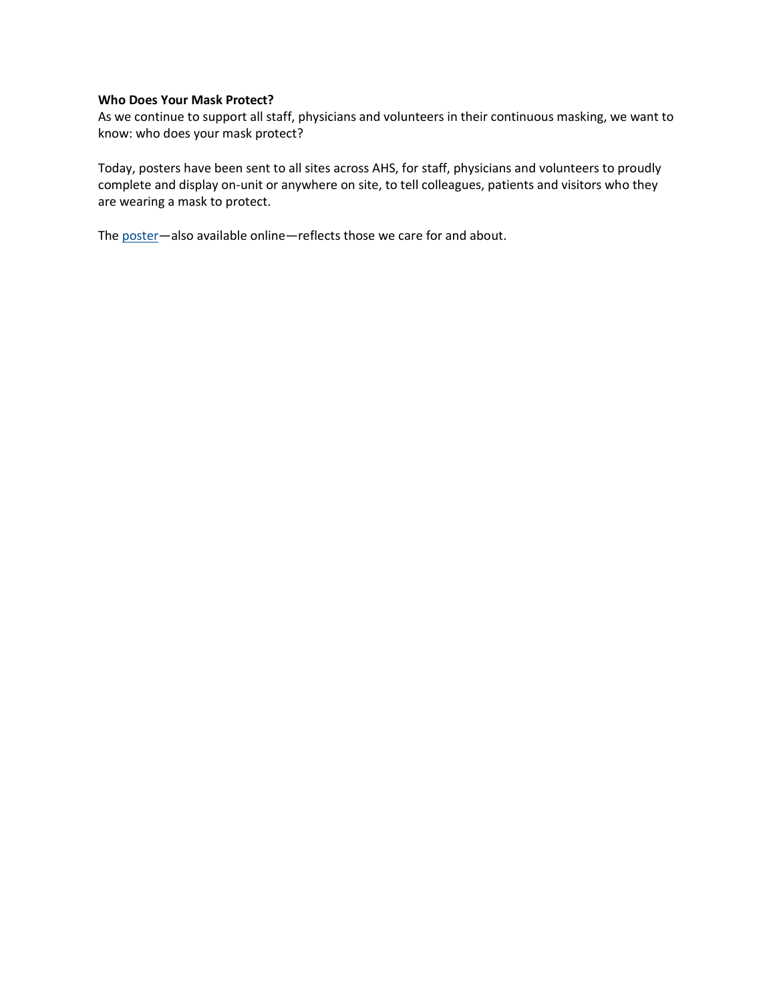#### **Who Does Your Mask Protect?**

As we continue to support all staff, physicians and volunteers in their continuous masking, we want to know: who does your mask protect?

Today, posters have been sent to all sites across AHS, for staff, physicians and volunteers to proudly complete and display on-unit or anywhere on site, to tell colleagues, patients and visitors who they are wearing a mask to protect.

The [poster](https://insite.albertahealthservices.ca/tools/Page24798.aspx)—also available online—reflects those we care for and about.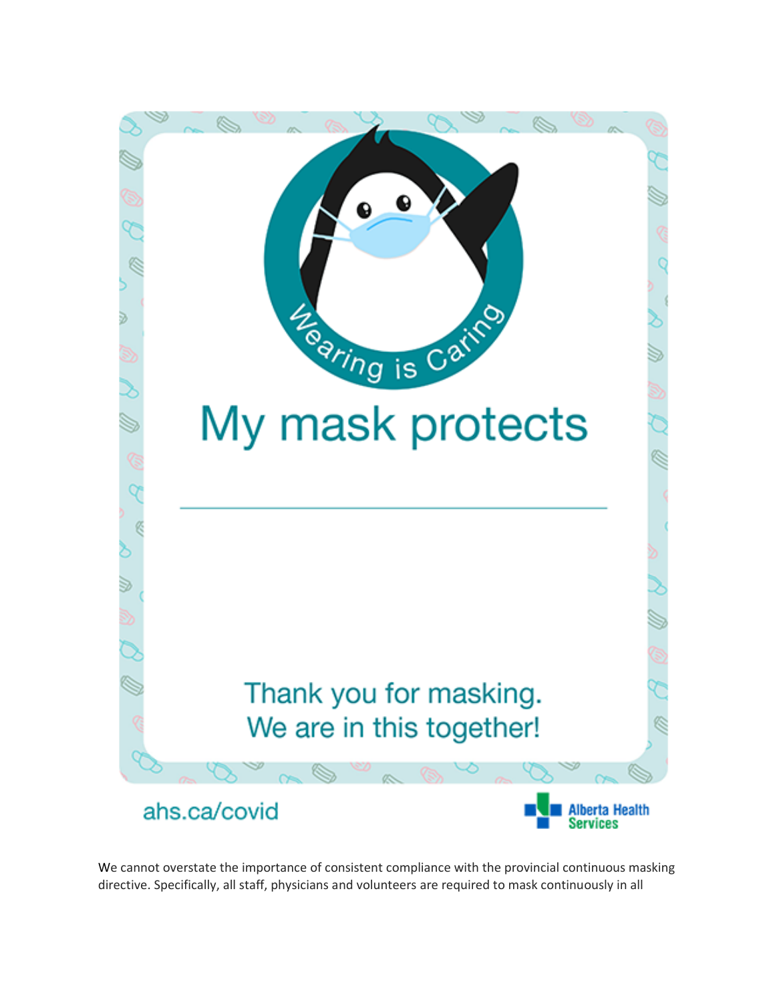

We cannot overstate the importance of consistent compliance with the provincial continuous masking directive. Specifically, all staff, physicians and volunteers are required to mask continuously in all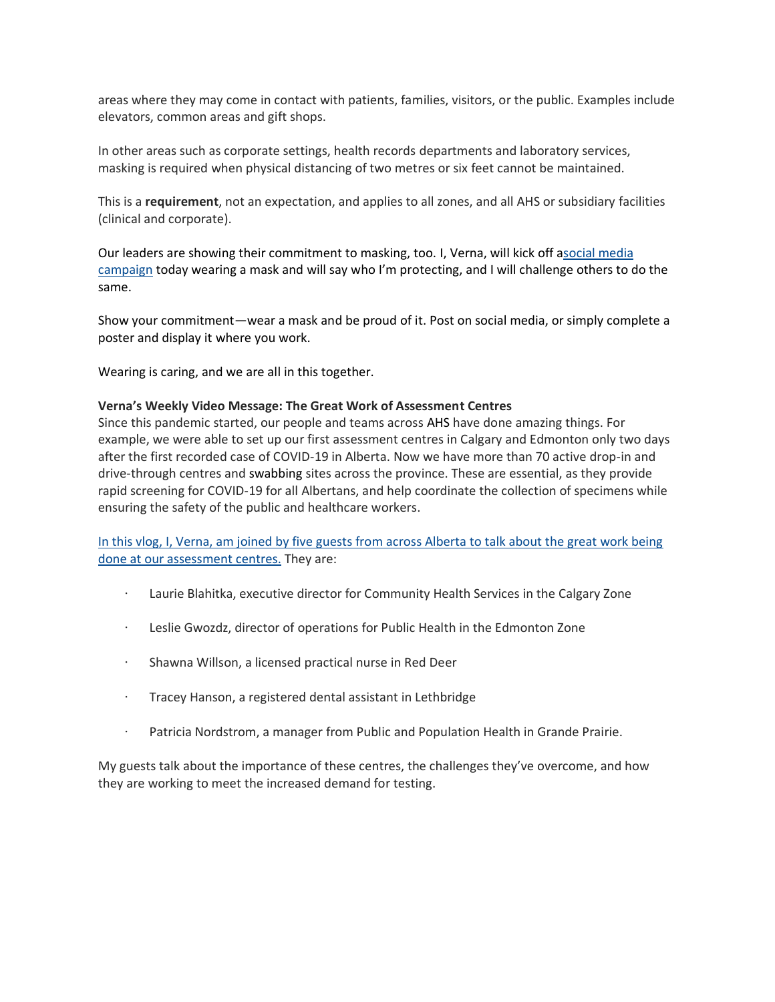areas where they may come in contact with patients, families, visitors, or the public. Examples include elevators, common areas and gift shops.

In other areas such as corporate settings, health records departments and laboratory services, masking is required when physical distancing of two metres or six feet cannot be maintained.

This is a **requirement**, not an expectation, and applies to all zones, and all AHS or subsidiary facilities (clinical and corporate).

Our leaders are showing their commitment to masking, too. I, Verna, will kick off [asocial media](https://twitter.com/dryiu_verna)  [campaign](https://twitter.com/dryiu_verna) today wearing a mask and will say who I'm protecting, and I will challenge others to do the same.

Show your commitment—wear a mask and be proud of it. Post on social media, or simply complete a poster and display it where you work.

Wearing is caring, and we are all in this together.

#### **Verna's Weekly Video Message: The Great Work of Assessment Centres**

Since this pandemic started, our people and teams across AHS have done amazing things. For example, we were able to set up our first assessment centres in Calgary and Edmonton only two days after the first recorded case of COVID-19 in Alberta. Now we have more than 70 active drop-in and drive-through centres and swabbing sites across the province. These are essential, as they provide rapid screening for COVID-19 for all Albertans, and help coordinate the collection of specimens while ensuring the safety of the public and healthcare workers.

[In this vlog, I, Verna, am joined by five guests from across Alberta to talk about the great work being](https://uat-www.albertahealthservices.ca/Blogs/ceo/283.aspx)  [done at our assessment centres.](https://uat-www.albertahealthservices.ca/Blogs/ceo/283.aspx) They are:

- · Laurie Blahitka, executive director for Community Health Services in the Calgary Zone
- · Leslie Gwozdz, director of operations for Public Health in the Edmonton Zone
- · Shawna Willson, a licensed practical nurse in Red Deer
- · Tracey Hanson, a registered dental assistant in Lethbridge
- · Patricia Nordstrom, a manager from Public and Population Health in Grande Prairie.

My guests talk about the importance of these centres, the challenges they've overcome, and how they are working to meet the increased demand for testing.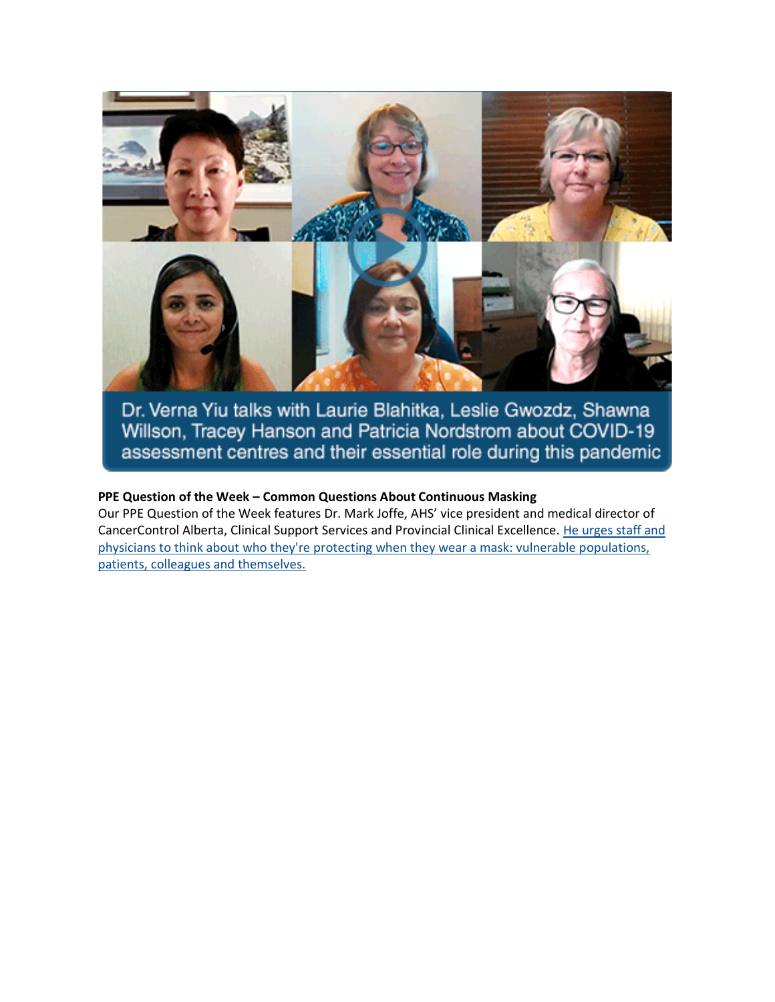

Dr. Verna Yiu talks with Laurie Blahitka, Leslie Gwozdz, Shawna Willson, Tracey Hanson and Patricia Nordstrom about COVID-19 assessment centres and their essential role during this pandemic

#### **PPE Question of the Week – Common Questions About Continuous Masking**

Our PPE Question of the Week features Dr. Mark Joffe, AHS' vice president and medical director of CancerControl Alberta, Clinical Support Services and Provincial Clinical Excellence. [He urges staff and](https://www.albertahealthservices.ca/topics/Page17119.aspx#ppedodont)  [physicians to think about who they're protecting when they wear a mask: vulnerable populations,](https://www.albertahealthservices.ca/topics/Page17119.aspx#ppedodont)  [patients, colleagues and themselves.](https://www.albertahealthservices.ca/topics/Page17119.aspx#ppedodont)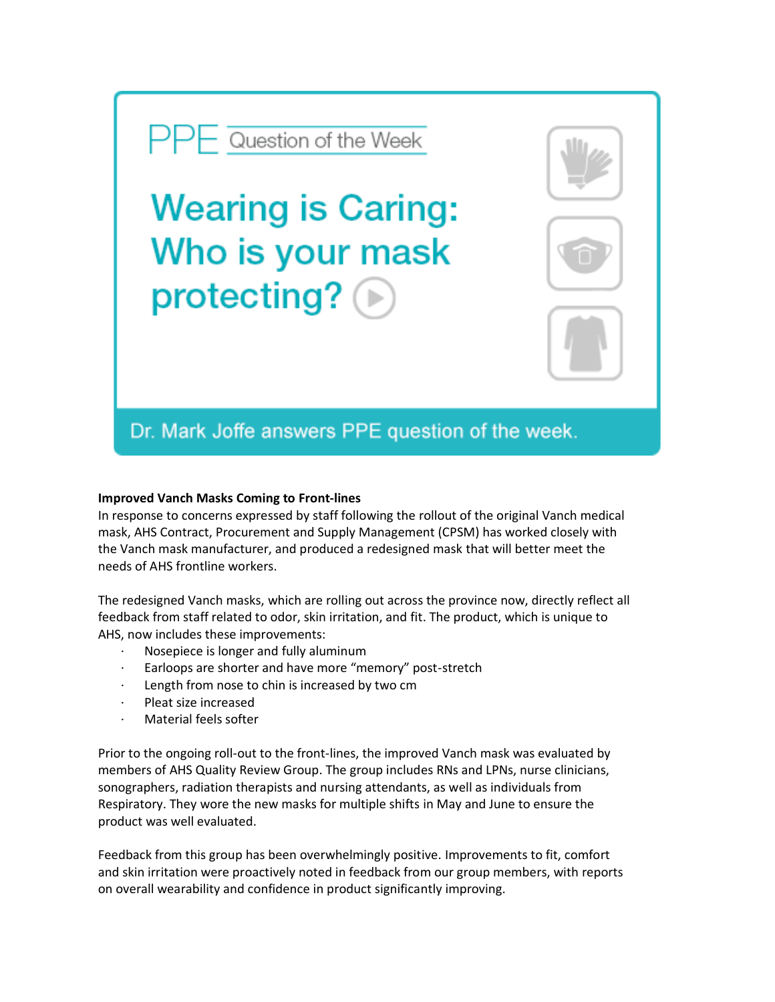# **Wearing is Caring:** Who is your mask protecting?

 $\mathsf{PPF}$  Question of the Week

### Dr. Mark Joffe answers PPE question of the week.

#### **Improved Vanch Masks Coming to Front-lines**

In response to concerns expressed by staff following the rollout of the original Vanch medical mask, AHS Contract, Procurement and Supply Management (CPSM) has worked closely with the Vanch mask manufacturer, and produced a redesigned mask that will better meet the needs of AHS frontline workers.

The redesigned Vanch masks, which are rolling out across the province now, directly reflect all feedback from staff related to odor, skin irritation, and fit. The product, which is unique to AHS, now includes these improvements:

- · Nosepiece is longer and fully aluminum
- Earloops are shorter and have more "memory" post-stretch
- Length from nose to chin is increased by two cm
- Pleat size increased
- Material feels softer

Prior to the ongoing roll-out to the front-lines, the improved Vanch mask was evaluated by members of AHS Quality Review Group. The group includes RNs and LPNs, nurse clinicians, sonographers, radiation therapists and nursing attendants, as well as individuals from Respiratory. They wore the new masks for multiple shifts in May and June to ensure the product was well evaluated.

Feedback from this group has been overwhelmingly positive. Improvements to fit, comfort and skin irritation were proactively noted in feedback from our group members, with reports on overall wearability and confidence in product significantly improving.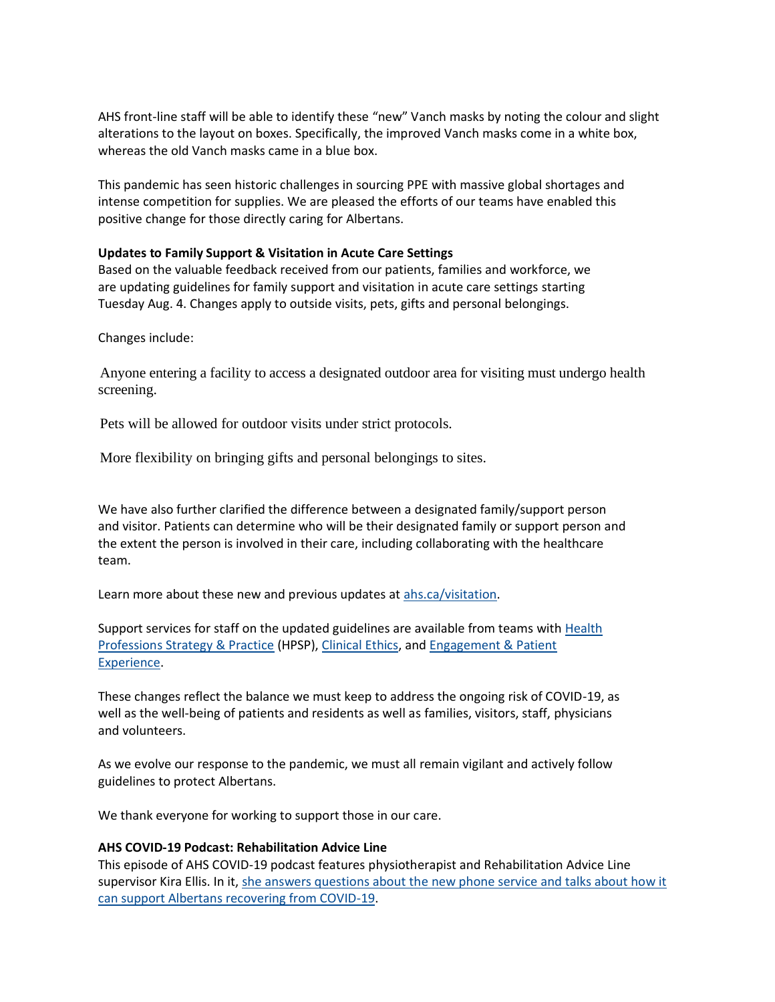AHS front-line staff will be able to identify these "new" Vanch masks by noting the colour and slight alterations to the layout on boxes. Specifically, the improved Vanch masks come in a white box, whereas the old Vanch masks came in a blue box.

This pandemic has seen historic challenges in sourcing PPE with massive global shortages and intense competition for supplies. We are pleased the efforts of our teams have enabled this positive change for those directly caring for Albertans.

#### **Updates to Family Support & Visitation in Acute Care Settings**

Based on the valuable feedback received from our patients, families and workforce, we are updating guidelines for family support and visitation in acute care settings starting Tuesday Aug. 4. Changes apply to outside visits, pets, gifts and personal belongings.

Changes include:

Anyone entering a facility to access a designated outdoor area for visiting must undergo health screening.

Pets will be allowed for outdoor visits under strict protocols.

More flexibility on bringing gifts and personal belongings to sites.

We have also further clarified the difference between a designated family/support person and visitor. Patients can determine who will be their designated family or support person and the extent the person is involved in their care, including collaborating with the healthcare team.

Learn more about these new and previous updates at [ahs.ca/visitation.](http://www.ahs.ca/visitation)

Support services for staff on the updated guidelines are available from teams with [Health](https://insite.albertahealthservices.ca/hpsp/Page7864.aspx)  [Professions Strategy & Practice](https://insite.albertahealthservices.ca/hpsp/Page7864.aspx) (HPSP), [Clinical Ethics,](https://insite.albertahealthservices.ca/qhi/Page9990.aspx) and [Engagement & Patient](https://insite.albertahealthservices.ca/qhi/Page17155.aspx)  [Experience.](https://insite.albertahealthservices.ca/qhi/Page17155.aspx)

These changes reflect the balance we must keep to address the ongoing risk of COVID-19, as well as the well-being of patients and residents as well as families, visitors, staff, physicians and volunteers.

As we evolve our response to the pandemic, we must all remain vigilant and actively follow guidelines to protect Albertans.

We thank everyone for working to support those in our care.

#### **AHS COVID-19 Podcast: Rehabilitation Advice Line**

This episode of AHS COVID-19 podcast features physiotherapist and Rehabilitation Advice Line supervisor Kira Ellis. In it, she answers questions about the new phone service and talks about how it [can support Albertans recovering from COVID-19.](https://www.albertahealthservices.ca/news/Page15434.aspx)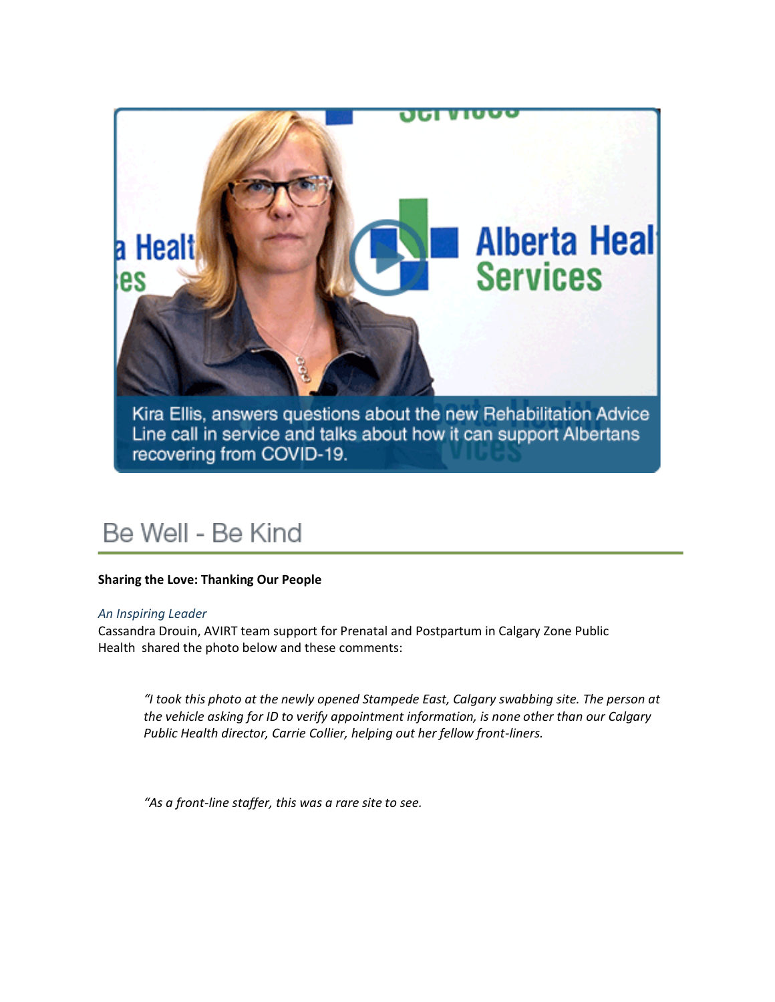

## Be Well - Be Kind

#### **Sharing the Love: Thanking Our People**

#### *An Inspiring Leader*

Cassandra Drouin, AVIRT team support for Prenatal and Postpartum in Calgary Zone Public Health shared the photo below and these comments:

*"I took this photo at the newly opened Stampede East, Calgary swabbing site. The person at the vehicle asking for ID to verify appointment information, is none other than our Calgary Public Health director, Carrie Collier, helping out her fellow front-liners.*

*"As a front-line staffer, this was a rare site to see.*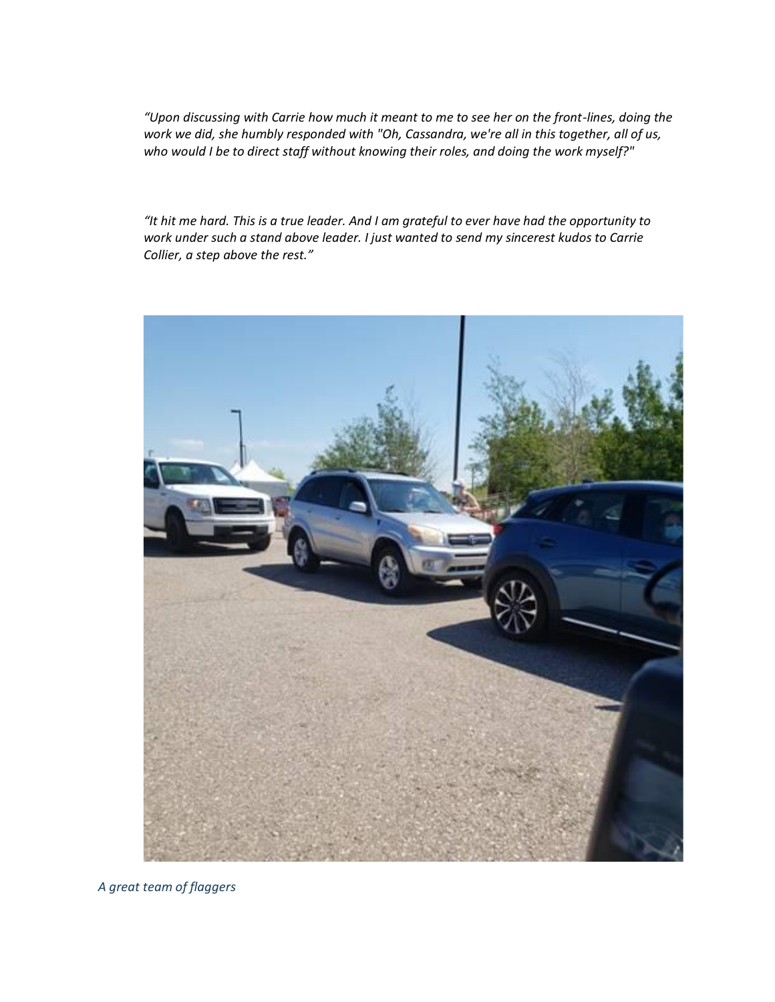*"Upon discussing with Carrie how much it meant to me to see her on the front-lines, doing the work we did, she humbly responded with "Oh, Cassandra, we're all in this together, all of us, who would I be to direct staff without knowing their roles, and doing the work myself?"*

*"It hit me hard. This is a true leader. And I am grateful to ever have had the opportunity to work under such a stand above leader. I just wanted to send my sincerest kudos to Carrie Collier, a step above the rest."*



*A great team of flaggers*